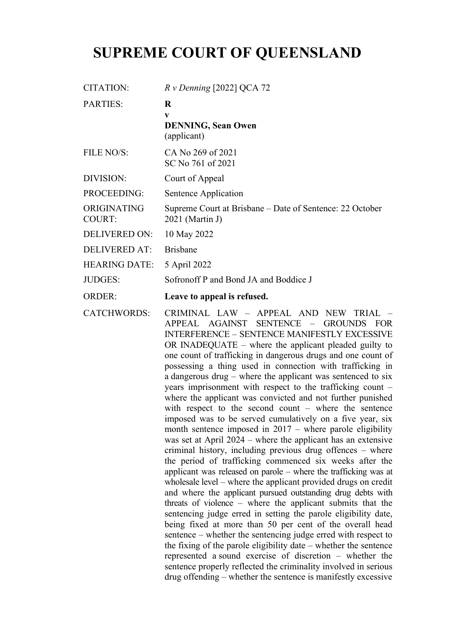# **SUPREME COURT OF QUEENSLAND**

| CITATION:                    | $R \nu$ Denning [2022] QCA 72                                                 |
|------------------------------|-------------------------------------------------------------------------------|
| <b>PARTIES:</b>              | R<br>V<br><b>DENNING, Sean Owen</b><br>(applicant)                            |
| FILE NO/S:                   | CA No 269 of 2021<br>SC No 761 of 2021                                        |
| DIVISION:                    | Court of Appeal                                                               |
| PROCEEDING:                  | Sentence Application                                                          |
| ORIGINATING<br><b>COURT:</b> | Supreme Court at Brisbane – Date of Sentence: 22 October<br>$2021$ (Martin J) |
| <b>DELIVERED ON:</b>         | 10 May 2022                                                                   |
| <b>DELIVERED AT:</b>         | <b>Brisbane</b>                                                               |
| <b>HEARING DATE:</b>         | 5 April 2022                                                                  |
| <b>JUDGES:</b>               | Sofronoff P and Bond JA and Boddice J                                         |
| <b>ORDER:</b>                | Leave to appeal is refused.                                                   |

CATCHWORDS: CRIMINAL LAW – APPEAL AND NEW TRIAL – APPEAL AGAINST SENTENCE – GROUNDS FOR INTERFERENCE – SENTENCE MANIFESTLY EXCESSIVE OR INADEQUATE – where the applicant pleaded guilty to one count of trafficking in dangerous drugs and one count of possessing a thing used in connection with trafficking in a dangerous drug – where the applicant was sentenced to six years imprisonment with respect to the trafficking count – where the applicant was convicted and not further punished with respect to the second count – where the sentence imposed was to be served cumulatively on a five year, six month sentence imposed in 2017 – where parole eligibility was set at April 2024 – where the applicant has an extensive criminal history, including previous drug offences – where the period of trafficking commenced six weeks after the applicant was released on parole – where the trafficking was at wholesale level – where the applicant provided drugs on credit and where the applicant pursued outstanding drug debts with threats of violence – where the applicant submits that the sentencing judge erred in setting the parole eligibility date, being fixed at more than 50 per cent of the overall head sentence – whether the sentencing judge erred with respect to the fixing of the parole eligibility date – whether the sentence represented a sound exercise of discretion – whether the sentence properly reflected the criminality involved in serious drug offending – whether the sentence is manifestly excessive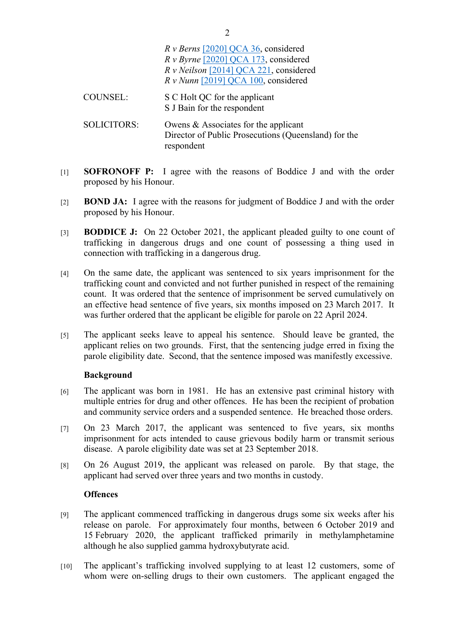|                    | $R v$ Berns [2020] QCA 36, considered<br>$R \nu B$ yrne [2020] QCA 173, considered<br>R v Neilson [2014] QCA 221, considered<br>$Rv$ Nunn [2019] QCA 100, considered |
|--------------------|----------------------------------------------------------------------------------------------------------------------------------------------------------------------|
| <b>COUNSEL:</b>    | S C Holt QC for the applicant<br>S J Bain for the respondent                                                                                                         |
| <b>SOLICITORS:</b> | Owens & Associates for the applicant<br>Director of Public Prosecutions (Queensland) for the<br>respondent                                                           |

- [1] **SOFRONOFF P:** I agree with the reasons of Boddice J and with the order proposed by his Honour.
- [2] **BOND JA:** I agree with the reasons for judgment of Boddice J and with the order proposed by his Honour.
- [3] **BODDICE J:** On 22 October 2021, the applicant pleaded guilty to one count of trafficking in dangerous drugs and one count of possessing a thing used in connection with trafficking in a dangerous drug.
- [4] On the same date, the applicant was sentenced to six years imprisonment for the trafficking count and convicted and not further punished in respect of the remaining count. It was ordered that the sentence of imprisonment be served cumulatively on an effective head sentence of five years, six months imposed on 23 March 2017. It was further ordered that the applicant be eligible for parole on 22 April 2024.
- [5] The applicant seeks leave to appeal his sentence. Should leave be granted, the applicant relies on two grounds. First, that the sentencing judge erred in fixing the parole eligibility date. Second, that the sentence imposed was manifestly excessive.

# **Background**

- [6] The applicant was born in 1981. He has an extensive past criminal history with multiple entries for drug and other offences. He has been the recipient of probation and community service orders and a suspended sentence. He breached those orders.
- [7] On 23 March 2017, the applicant was sentenced to five years, six months imprisonment for acts intended to cause grievous bodily harm or transmit serious disease. A parole eligibility date was set at 23 September 2018.
- [8] On 26 August 2019, the applicant was released on parole. By that stage, the applicant had served over three years and two months in custody.

#### **Offences**

- [9] The applicant commenced trafficking in dangerous drugs some six weeks after his release on parole. For approximately four months, between 6 October 2019 and 15 February 2020, the applicant trafficked primarily in methylamphetamine although he also supplied gamma hydroxybutyrate acid.
- [10] The applicant's trafficking involved supplying to at least 12 customers, some of whom were on-selling drugs to their own customers. The applicant engaged the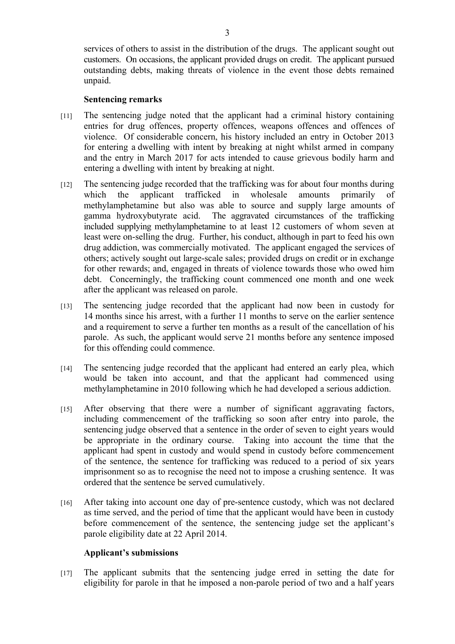services of others to assist in the distribution of the drugs. The applicant sought out customers. On occasions, the applicant provided drugs on credit. The applicant pursued outstanding debts, making threats of violence in the event those debts remained unpaid.

# **Sentencing remarks**

- [11] The sentencing judge noted that the applicant had a criminal history containing entries for drug offences, property offences, weapons offences and offences of violence. Of considerable concern, his history included an entry in October 2013 for entering a dwelling with intent by breaking at night whilst armed in company and the entry in March 2017 for acts intended to cause grievous bodily harm and entering a dwelling with intent by breaking at night.
- [12] The sentencing judge recorded that the trafficking was for about four months during which the applicant trafficked in wholesale amounts primarily of methylamphetamine but also was able to source and supply large amounts of gamma hydroxybutyrate acid. The aggravated circumstances of the trafficking included supplying methylamphetamine to at least 12 customers of whom seven at least were on-selling the drug. Further, his conduct, although in part to feed his own drug addiction, was commercially motivated. The applicant engaged the services of others; actively sought out large-scale sales; provided drugs on credit or in exchange for other rewards; and, engaged in threats of violence towards those who owed him debt. Concerningly, the trafficking count commenced one month and one week after the applicant was released on parole.
- [13] The sentencing judge recorded that the applicant had now been in custody for 14 months since his arrest, with a further 11 months to serve on the earlier sentence and a requirement to serve a further ten months as a result of the cancellation of his parole. As such, the applicant would serve 21 months before any sentence imposed for this offending could commence.
- [14] The sentencing judge recorded that the applicant had entered an early plea, which would be taken into account, and that the applicant had commenced using methylamphetamine in 2010 following which he had developed a serious addiction.
- [15] After observing that there were a number of significant aggravating factors, including commencement of the trafficking so soon after entry into parole, the sentencing judge observed that a sentence in the order of seven to eight years would be appropriate in the ordinary course. Taking into account the time that the applicant had spent in custody and would spend in custody before commencement of the sentence, the sentence for trafficking was reduced to a period of six years imprisonment so as to recognise the need not to impose a crushing sentence. It was ordered that the sentence be served cumulatively.
- [16] After taking into account one day of pre-sentence custody, which was not declared as time served, and the period of time that the applicant would have been in custody before commencement of the sentence, the sentencing judge set the applicant's parole eligibility date at 22 April 2014.

#### **Applicant's submissions**

[17] The applicant submits that the sentencing judge erred in setting the date for eligibility for parole in that he imposed a non-parole period of two and a half years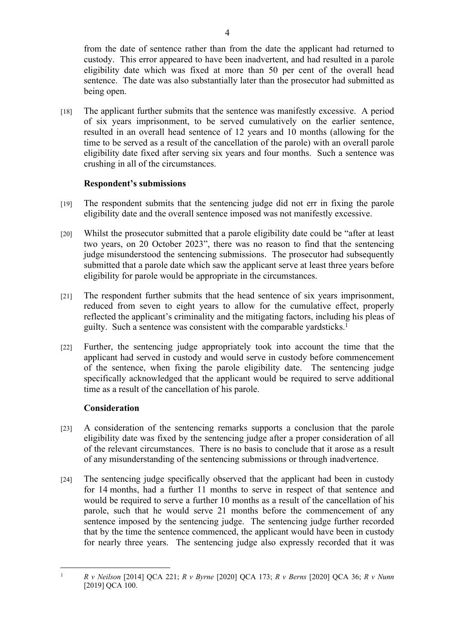from the date of sentence rather than from the date the applicant had returned to custody. This error appeared to have been inadvertent, and had resulted in a parole eligibility date which was fixed at more than 50 per cent of the overall head sentence. The date was also substantially later than the prosecutor had submitted as being open.

[18] The applicant further submits that the sentence was manifestly excessive. A period of six years imprisonment, to be served cumulatively on the earlier sentence, resulted in an overall head sentence of 12 years and 10 months (allowing for the time to be served as a result of the cancellation of the parole) with an overall parole eligibility date fixed after serving six years and four months. Such a sentence was crushing in all of the circumstances.

# **Respondent's submissions**

- [19] The respondent submits that the sentencing judge did not err in fixing the parole eligibility date and the overall sentence imposed was not manifestly excessive.
- [20] Whilst the prosecutor submitted that a parole eligibility date could be "after at least two years, on 20 October 2023", there was no reason to find that the sentencing judge misunderstood the sentencing submissions. The prosecutor had subsequently submitted that a parole date which saw the applicant serve at least three years before eligibility for parole would be appropriate in the circumstances.
- [21] The respondent further submits that the head sentence of six years imprisonment, reduced from seven to eight years to allow for the cumulative effect, properly reflected the applicant's criminality and the mitigating factors, including his pleas of guilty. Such a sentence was consistent with the comparable yardsticks.<sup>1</sup>
- [22] Further, the sentencing judge appropriately took into account the time that the applicant had served in custody and would serve in custody before commencement of the sentence, when fixing the parole eligibility date. The sentencing judge specifically acknowledged that the applicant would be required to serve additional time as a result of the cancellation of his parole.

# **Consideration**

- [23] A consideration of the sentencing remarks supports a conclusion that the parole eligibility date was fixed by the sentencing judge after a proper consideration of all of the relevant circumstances. There is no basis to conclude that it arose as a result of any misunderstanding of the sentencing submissions or through inadvertence.
- [24] The sentencing judge specifically observed that the applicant had been in custody for 14 months, had a further 11 months to serve in respect of that sentence and would be required to serve a further 10 months as a result of the cancellation of his parole, such that he would serve 21 months before the commencement of any sentence imposed by the sentencing judge. The sentencing judge further recorded that by the time the sentence commenced, the applicant would have been in custody for nearly three years. The sentencing judge also expressly recorded that it was

<sup>1</sup> *R v Neilson* [2014] QCA 221; *R v Byrne* [2020] QCA 173; *R v Berns* [2020] QCA 36; *R v Nunn* [2019] QCA 100.